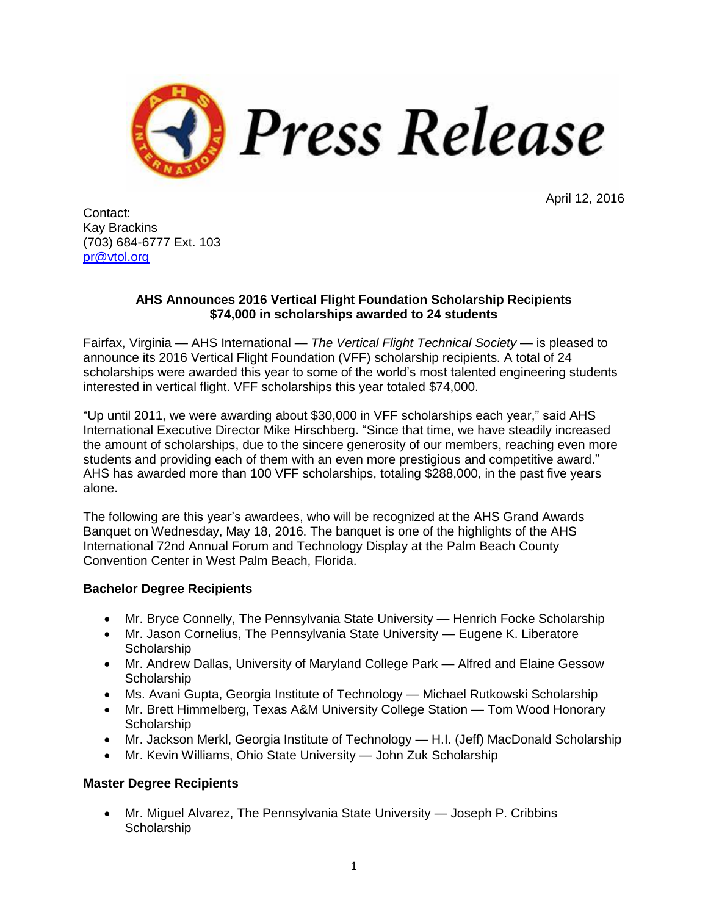

April 12, 2016

Contact: Kay Brackins (703) 684-6777 Ext. 103 [pr@vtol.org](mailto:pr@vtol.org)

## **AHS Announces 2016 Vertical Flight Foundation Scholarship Recipients \$74,000 in scholarships awarded to 24 students**

Fairfax, Virginia — AHS International — *The Vertical Flight Technical Society* — is pleased to announce its 2016 Vertical Flight Foundation (VFF) scholarship recipients. A total of 24 scholarships were awarded this year to some of the world's most talented engineering students interested in vertical flight. VFF scholarships this year totaled \$74,000.

"Up until 2011, we were awarding about \$30,000 in VFF scholarships each year," said AHS International Executive Director Mike Hirschberg. "Since that time, we have steadily increased the amount of scholarships, due to the sincere generosity of our members, reaching even more students and providing each of them with an even more prestigious and competitive award." AHS has awarded more than 100 VFF scholarships, totaling \$288,000, in the past five years alone.

The following are this year's awardees, who will be recognized at the AHS Grand Awards Banquet on Wednesday, May 18, 2016. The banquet is one of the highlights of the AHS International 72nd Annual Forum and Technology Display at the Palm Beach County Convention Center in West Palm Beach, Florida.

## **Bachelor Degree Recipients**

- Mr. Bryce Connelly, The Pennsylvania State University Henrich Focke Scholarship
- Mr. Jason Cornelius, The Pennsylvania State University Eugene K. Liberatore **Scholarship**
- Mr. Andrew Dallas, University of Maryland College Park Alfred and Elaine Gessow **Scholarship**
- Ms. Avani Gupta, Georgia Institute of Technology Michael Rutkowski Scholarship
- Mr. Brett Himmelberg, Texas A&M University College Station Tom Wood Honorary **Scholarship**
- Mr. Jackson Merkl, Georgia Institute of Technology H.I. (Jeff) MacDonald Scholarship
- Mr. Kevin Williams, Ohio State University John Zuk Scholarship

## **Master Degree Recipients**

 Mr. Miguel Alvarez, The Pennsylvania State University — Joseph P. Cribbins **Scholarship**